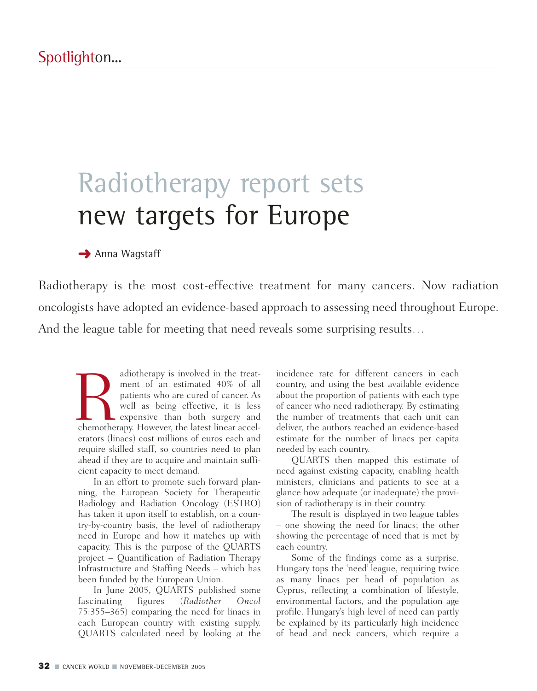# Radiotherapy report sets new targets for Europe

### **→** Anna Wagstaff

Radiotherapy is the most cost-effective treatment for many cancers. Now radiation oncologists have adopted an evidence-based approach to assessing need throughout Europe. And the league table for meeting that need reveals some surprising results…

adiotherapy is involved in the treat-<br>
ment of an estimated 40% of all<br>
patients who are cured of cancer. As<br>
well as being effective, it is less<br>
expensive than both surgery and<br>
chemotherapy. However, the latest linear a ment of an estimated 40% of all patients who are cured of cancer. As well as being effective, it is less expensive than both surgery and erators (linacs) cost millions of euros each and require skilled staff, so countries need to plan ahead if they are to acquire and maintain sufficient capacity to meet demand.

In an effort to promote such forward planning, the European Society for Therapeutic Radiology and Radiation Oncology (ESTRO) has taken it upon itself to establish, on a country-by-country basis, the level of radiotherapy need in Europe and how it matches up with capacity. This is the purpose of the QUARTS project – Quantification of Radiation Therapy Infrastructure and Staffing Needs – which has been funded by the European Union.

In June 2005, QUARTS published some fascinating figures (*Radiother Oncol* 75:355–365) comparing the need for linacs in each European country with existing supply. QUARTS calculated need by looking at the incidence rate for different cancers in each country, and using the best available evidence about the proportion of patients with each type of cancer who need radiotherapy. By estimating the number of treatments that each unit can deliver, the authors reached an evidence-based estimate for the number of linacs per capita needed by each country.

QUARTS then mapped this estimate of need against existing capacity, enabling health ministers, clinicians and patients to see at a glance how adequate (or inadequate) the provision of radiotherapy is in their country.

The result is displayed in two league tables – one showing the need for linacs; the other showing the percentage of need that is met by each country.

Some of the findings come as a surprise. Hungary tops the 'need' league, requiring twice as many linacs per head of population as Cyprus, reflecting a combination of lifestyle, environmental factors, and the population age profile. Hungary's high level of need can partly be explained by its particularly high incidence of head and neck cancers, which require a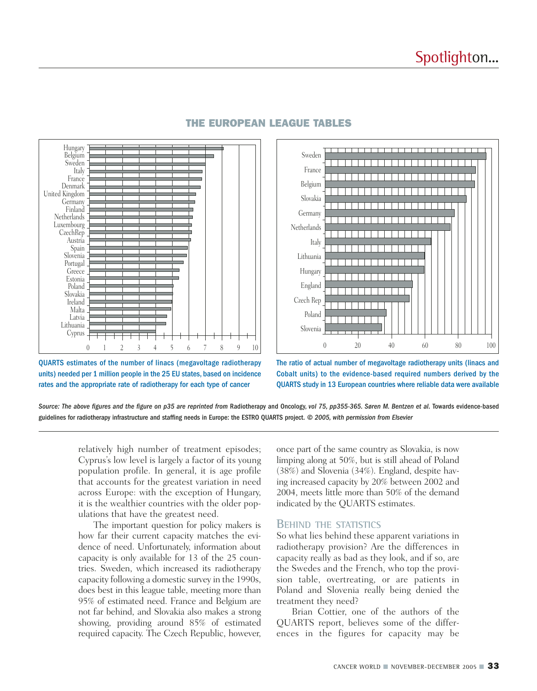

#### THE EUROPEAN LEAGUE TABLES



QUARTS estimates of the number of linacs (megavoltage radiotherapy units) needed per 1 million people in the 25 EU states, based on incidence rates and the appropriate rate of radiotherapy for each type of cancer

The ratio of actual number of megavoltage radiotherapy units (linacs and Cobalt units) to the evidence-based required numbers derived by the QUARTS study in 13 European countries where reliable data were available

*Source: The above figures and the figure on p35 are reprinted from* Radiotherapy and Oncology, *vol 75, pp355-365. Søren M. Bentzen et al.* Towards evidence-based guidelines for radiotherapy infrastructure and staffing needs in Europe: the ESTRO QUARTS project. *© 2005, with permission from Elsevier*

relatively high number of treatment episodes; Cyprus's low level is largely a factor of its young population profile. In general, it is age profile that accounts for the greatest variation in need across Europe: with the exception of Hungary, it is the wealthier countries with the older populations that have the greatest need.

The important question for policy makers is how far their current capacity matches the evidence of need. Unfortunately, information about capacity is only available for 13 of the 25 countries. Sweden, which increased its radiotherapy capacity following a domestic survey in the 1990s, does best in this league table, meeting more than 95% of estimated need. France and Belgium are not far behind, and Slovakia also makes a strong showing, providing around 85% of estimated required capacity. The Czech Republic, however, once part of the same country as Slovakia, is now limping along at 50%, but is still ahead of Poland (38%) and Slovenia (34%). England, despite having increased capacity by 20% between 2002 and 2004, meets little more than 50% of the demand indicated by the QUARTS estimates.

#### **BEHIND THE STATISTICS**

So what lies behind these apparent variations in radiotherapy provision? Are the differences in capacity really as bad as they look, and if so, are the Swedes and the French, who top the provision table, overtreating, or are patients in Poland and Slovenia really being denied the treatment they need?

Brian Cottier, one of the authors of the QUARTS report, believes some of the differences in the figures for capacity may be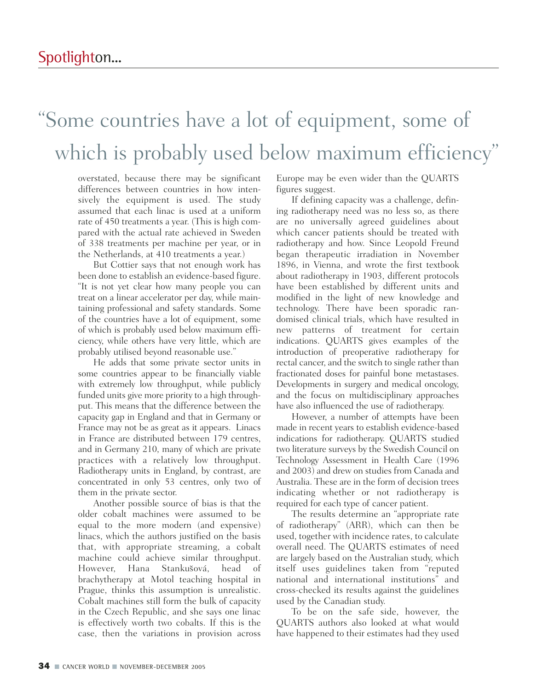### "Some countries have a lot of equipment, some of which is probably used below maximum efficiency"

overstated, because there may be significant differences between countries in how intensively the equipment is used. The study assumed that each linac is used at a uniform rate of 450 treatments a year. (This is high compared with the actual rate achieved in Sweden of 338 treatments per machine per year, or in the Netherlands, at 410 treatments a year.)

But Cottier says that not enough work has been done to establish an evidence-based figure. "It is not yet clear how many people you can treat on a linear accelerator per day, while maintaining professional and safety standards. Some of the countries have a lot of equipment, some of which is probably used below maximum efficiency, while others have very little, which are probably utilised beyond reasonable use."

He adds that some private sector units in some countries appear to be financially viable with extremely low throughput, while publicly funded units give more priority to a high throughput. This means that the difference between the capacity gap in England and that in Germany or France may not be as great as it appears. Linacs in France are distributed between 179 centres, and in Germany 210, many of which are private practices with a relatively low throughput. Radiotherapy units in England, by contrast, are concentrated in only 53 centres, only two of them in the private sector.

Another possible source of bias is that the older cobalt machines were assumed to be equal to the more modern (and expensive) linacs, which the authors justified on the basis that, with appropriate streaming, a cobalt machine could achieve similar throughput. However, Hana Stanku˘sová, head of brachytherapy at Motol teaching hospital in Prague, thinks this assumption is unrealistic. Cobalt machines still form the bulk of capacity in the Czech Republic, and she says one linac is effectively worth two cobalts. If this is the case, then the variations in provision across

Europe may be even wider than the QUARTS figures suggest.

If defining capacity was a challenge, defining radiotherapy need was no less so, as there are no universally agreed guidelines about which cancer patients should be treated with radiotherapy and how. Since Leopold Freund began therapeutic irradiation in November 1896, in Vienna, and wrote the first textbook about radiotherapy in 1903, different protocols have been established by different units and modified in the light of new knowledge and technology. There have been sporadic randomised clinical trials, which have resulted in new patterns of treatment for certain indications. QUARTS gives examples of the introduction of preoperative radiotherapy for rectal cancer, and the switch to single rather than fractionated doses for painful bone metastases. Developments in surgery and medical oncology, and the focus on multidisciplinary approaches have also influenced the use of radiotherapy.

However, a number of attempts have been made in recent years to establish evidence-based indications for radiotherapy. QUARTS studied two literature surveys by the Swedish Council on Technology Assessment in Health Care (1996 and 2003) and drew on studies from Canada and Australia. These are in the form of decision trees indicating whether or not radiotherapy is required for each type of cancer patient.

The results determine an "appropriate rate of radiotherapy" (ARR), which can then be used, together with incidence rates, to calculate overall need. The QUARTS estimates of need are largely based on the Australian study, which itself uses guidelines taken from "reputed national and international institutions" and cross-checked its results against the guidelines used by the Canadian study.

To be on the safe side, however, the QUARTS authors also looked at what would have happened to their estimates had they used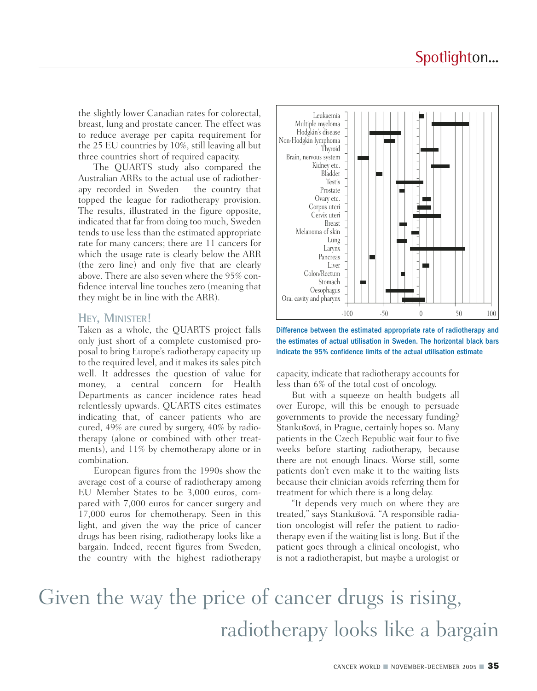the slightly lower Canadian rates for colorectal, breast, lung and prostate cancer. The effect was to reduce average per capita requirement for the 25 EU countries by 10%, still leaving all but three countries short of required capacity.

The QUARTS study also compared the Australian ARRs to the actual use of radiotherapy recorded in Sweden – the country that topped the league for radiotherapy provision. The results, illustrated in the figure opposite, indicated that far from doing too much, Sweden tends to use less than the estimated appropriate rate for many cancers; there are 11 cancers for which the usage rate is clearly below the ARR (the zero line) and only five that are clearly above. There are also seven where the 95% confidence interval line touches zero (meaning that they might be in line with the ARR).

#### **HEY, MINISTER!**

Taken as a whole, the QUARTS project falls only just short of a complete customised proposal to bring Europe's radiotherapy capacity up to the required level, and it makes its sales pitch well. It addresses the question of value for money, a central concern for Health Departments as cancer incidence rates head relentlessly upwards. QUARTS cites estimates indicating that, of cancer patients who are cured, 49% are cured by surgery, 40% by radiotherapy (alone or combined with other treatments), and 11% by chemotherapy alone or in combination.

European figures from the 1990s show the average cost of a course of radiotherapy among EU Member States to be 3,000 euros, compared with 7,000 euros for cancer surgery and 17,000 euros for chemotherapy. Seen in this light, and given the way the price of cancer drugs has been rising, radiotherapy looks like a bargain. Indeed, recent figures from Sweden, the country with the highest radiotherapy



Difference between the estimated appropriate rate of radiotherapy and the estimates of actual utilisation in Sweden. The horizontal black bars indicate the 95% confidence limits of the actual utilisation estimate

capacity, indicate that radiotherapy accounts for less than 6% of the total cost of oncology.

But with a squeeze on health budgets all over Europe, will this be enough to persuade governments to provide the necessary funding? Stankušová, in Prague, certainly hopes so. Many patients in the Czech Republic wait four to five weeks before starting radiotherapy, because there are not enough linacs. Worse still, some patients don't even make it to the waiting lists because their clinician avoids referring them for treatment for which there is a long delay.

"It depends very much on where they are treated," says Stanku˘sová. "A responsible radiation oncologist will refer the patient to radiotherapy even if the waiting list is long. But if the patient goes through a clinical oncologist, who is not a radiotherapist, but maybe a urologist or

## Given the way the price of cancer drugs is rising, radiotherapy looks like a bargain